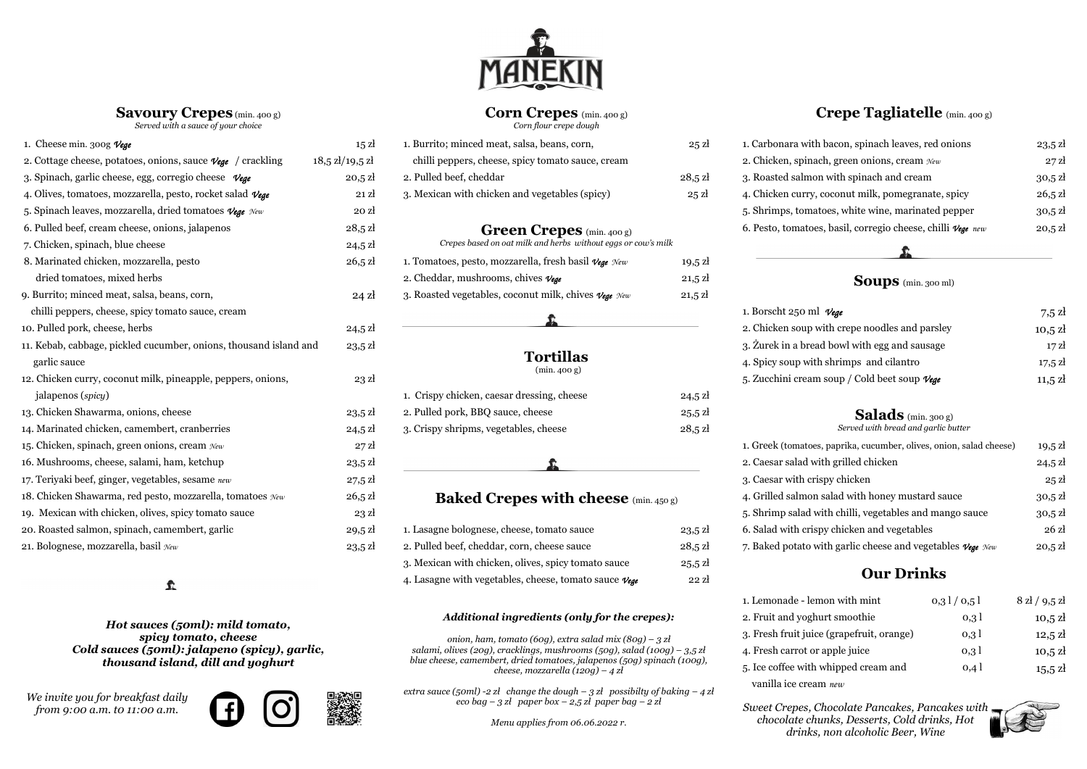**Savoury Crepes**(min. 400 g) *Served with a sauce of your choice*

## $\hat{\mathbf{r}}$



### **Corn Crepes** (min. 400 g) *Corn flour crepe dough*

1. Cheese min. 300g Vege **15 a State 15 and 15 a** 1. Burrito; minced meat, salsa, beans, corn, 25 a 25 zł 1. Carbonara with bacon, spinach leaves, red onions 23,5 zł 2. Cottage cheese, potatoes, onions, sauce *Vege* / crackling 18,5 zł/19,5 zł 3. Spinach, garlic cheese, egg, corregio cheese *Vege* 20,5 zł <sup>2</sup> 4. Olives, tomatoes, mozzarella, pesto, rocket salad *Vege* 21 zł 4. Mexican with chicken and vegetables (spicy) 25 zł 5. Spinach leaves, mozzarella, dried tomatoes *Vege New* 20 zł 6. Pulled beef, cream cheese, onions, jalapenos 28,5 zł 7. Chicken, spinach, blue cheese 24,5 zł 8. Marinated chicken, mozzarella, pesto 26,5 zł 1. dried tomatoes, mixed herbs 2. Cheddar, mushrooms, chives *Vege* 21,5 zł **Soups** (min. 300 ml) 9. Burrito; minced meat, salsa, beans, corn, *24 zł* 3. chilli peppers, cheese, spicy tomato sauce, cream 1. Borscht 250 ml 10. Pulled pork, cheese, herbs 24,5 zł 2. Chicken soup w 11. Kebab, cabbage, pickled cucumber, onions, thousand island and garlic sauce 23,5 zł garlic sauce **1993** and cilantro 17,5 złota and cilantro 17,5 złota and cilantro 17,5 złota and cilantro 17,5 zł 12. Chicken curry, coconut milk, pineapple, peppers, onions, 23 zł 5. Zucchini cream soup *5.* Zucchini cream jalapenos (*spicu*) 13. Chicken Shawarma, onions, cheese 23,5 zł 2. Pulled pork, BBQ sauce, cheese 25,5 zł **Salads** (min. 300 g) 14. Marinated chicken, camembert, cranberries 24,5 zł 3. Crispy shripms, vegetables, cheese 28,5 zł 15. Chicken, spinach, green onions, cream  $\mathcal{N}_{ew}$  27 zł 1. Greek (tomatoes, online salad chemical chemical chemical chemical chemical chemical chemical chemical chemical chemical chemical chemical chemical chemical chem 16. Mushrooms, cheese, salami, ham, ketchup 23,5 zł 17. Teriyaki beef, ginger, vegetables, sesame *new* 27,5 zł 3. Caesar with cris 18. Chicken Shawarma, red pesto, mozzarella, tomatoes  $New$  26,5 zł **Baked Crepes with cheese** (min. 450 g) 4. Grilled salmon 19. Mexican with chicken, olives, spicy tomato sauce 23 zł 5. Shrimp salad with chicken, olives, spicy tomato sauce 30, zł 20. Roasted salmon, spinach, camembert, garlic 29,5 zł 1. Lasagne bolognese, cheese, tomato sauce 23,5 zł 6. Salad with crisp 21. Bolognese, mozzarella, basil  $\mathcal{N}_{ew}$  23,5 zł 2. Pulled beef, cheddar, corn, cheese sauce 28,5 zł 7. Baked potato wi

## **Crepe Tagliatelle** (min. 400 g)

| Vege                                    | $7,5$ zł          |
|-----------------------------------------|-------------------|
| ith crepe noodles and parsley           | $10,5$ zł         |
| d bowl with egg and sausage             | 17z               |
| shrimps and cilantro                    | $17,5 \mathrm{Z}$ |
| soup / Cold beet soup $\mathcal{V}$ ege | $11,5 \,$ zł      |

| 1. Carbonara with bacon, spinach leaves, red onions                     | $23,5 \,$ zł      |
|-------------------------------------------------------------------------|-------------------|
| 2. Chicken, spinach, green onions, cream $\mathcal{N}_{ew}$             | $27$ $\rm{Z}$     |
| 3. Roasted salmon with spinach and cream                                | $30.5$ zł         |
| 4. Chicken curry, coconut milk, pomegranate, spicy                      | $26,5 \mathrm{Z}$ |
| 5. Shrimps, tomatoes, white wine, marinated pepper                      | $30.5$ zł         |
| 6. Pesto, tomatoes, basil, corregio cheese, chilli $v_{\text{ege}}$ new | $20,5 \mathrm{Z}$ |

| Corn flour crepe dough                                                                            |                   |                |
|---------------------------------------------------------------------------------------------------|-------------------|----------------|
| . Burrito; minced meat, salsa, beans, corn,                                                       | $25$ $\mathrm{z}$ | 1.             |
| chilli peppers, cheese, spicy tomato sauce, cream                                                 |                   | 2.             |
| Pulled beef, cheddar                                                                              | $28,5 \mathrm{Z}$ | 3.             |
| . Mexican with chicken and vegetables (spicy)                                                     | $25$ $\mathrm{z}$ | 4.             |
|                                                                                                   |                   | 5.             |
| <b>Green Crepes</b> (min. 400 g)<br>Crepes based on oat milk and herbs without eggs or cow's milk |                   | 6.             |
| . Tomatoes, pesto, mozzarella, fresh basil $\mathcal{V}_{\text{ege}}$ New                         | $19,5 \,$ zł      |                |
| . Cheddar, mushrooms, chives $\nu_{\text{E}}$                                                     | $21,5 \mathrm{Z}$ |                |
| . Roasted vegetables, coconut milk, chives $\nu_{ege}$ $\kappa_{ew}$                              | $21,5 \mathrm{Z}$ |                |
|                                                                                                   |                   | 1.<br>2.       |
| <b>Tortillas</b><br>(min.400 g)                                                                   |                   | 3.<br>4.<br>5. |
| . Crispy chicken, caesar dressing, cheese                                                         | 24,5 zł           |                |
|                                                                                                   |                   |                |

| 1. Crispy chicken, caesar dressing, cheese | 24,5 |
|--------------------------------------------|------|
| 2. Pulled pork, BBQ sauce, cheese          | 25.5 |
| 3. Crispy shripms, vegetables, cheese      | 28,5 |
|                                            |      |

- . Żurek in a bread
- 2. Caesar salad with
- 1. Lemonade lem
- 2. Fruit and yoghur 3. Fresh fruit juice
- 4. Fresh carrot or
- 5. Ice coffee with y
- vanilla ice cream *new*

# *Served with bread and garlic butter*

| , paprika, cucumber, olives, onion, salad cheese)                   | $19.5$ zł    |
|---------------------------------------------------------------------|--------------|
| th grilled chicken                                                  | $24,5 \,$ zł |
| spy chicken                                                         | $25$ zł      |
| salad with honey mustard sauce                                      | $30,5$ zł    |
| ith chilli, vegetables and mango sauce                              | $30,5$ zł    |
| by chicken and vegetables                                           | 26z          |
| ith garlic cheese and vegetables $\mathcal{V}$ ege $\mathcal{N}$ ew | $20,5$ zł    |

| on with mint         | 0,31/0,51 | $8$ zł / 9,5 zł   |
|----------------------|-----------|-------------------|
| ırt smoothie         | 0,31      | $10,5$ zł         |
| (grapefruit, orange) | 0,31      | $12,5 \mathrm{Z}$ |
| apple juice          | 0,31      | $10,5$ zł         |
| whipped cream and    | 0,4       | $15,5 \,$ zł      |
|                      |           |                   |



| 1. Lasagne bolognese, cheese, tomato sauce                          | $23,5 \,$ zł      | 6. Salad with crispy chicken and vegetables       |
|---------------------------------------------------------------------|-------------------|---------------------------------------------------|
| 2. Pulled beef, cheddar, corn, cheese sauce                         | $28,5 \mathrm{Z}$ | 7. Baked potato with garlic cheese and vegetable. |
| 3. Mexican with chicken, olives, spicy tomato sauce                 | $25,5 \,$ zł      |                                                   |
| 4. Lasagne with vegetables, cheese, tomato sauce $\nu_{\text{cge}}$ | $22$ $\rm{Z}$     | <b>Our Drinks</b>                                 |

*Hot sauces (50ml): mild tomato, spicy tomato, cheese Cold sauces (50ml): jalapeno (spicy), garlic, thousand island, dill and yoghurt*

### *Additional ingredients (only for the crepes):*

*onion, ham, tomato (60g), extra salad mix (80g) – 3 zł salami, olives (20g), cracklings, mushrooms (50g), salad (100g) – 3,5 zł blue cheese, camembert, dried tomatoes, jalapenos (50g) spinach (100g), cheese, mozzarella (120g) – 4 zł*

*extra sauce (50ml) -2 zł change the dough – 3 zł possibilty of baking – 4 zł eco bag – 3 zł paper box – 2,5 zł paper bag – 2 zł*

*Menu applies from 06.06.2022 r.*

*We invite you for breakfast daily from 9:00 a.m. t0 11:00 a.m.*





*Sweet Crepes, Chocolate Pancakes, Pancakes with chocolate chunks, Desserts, Cold drinks, Hot drinks, non alcoholic Beer, Wine*